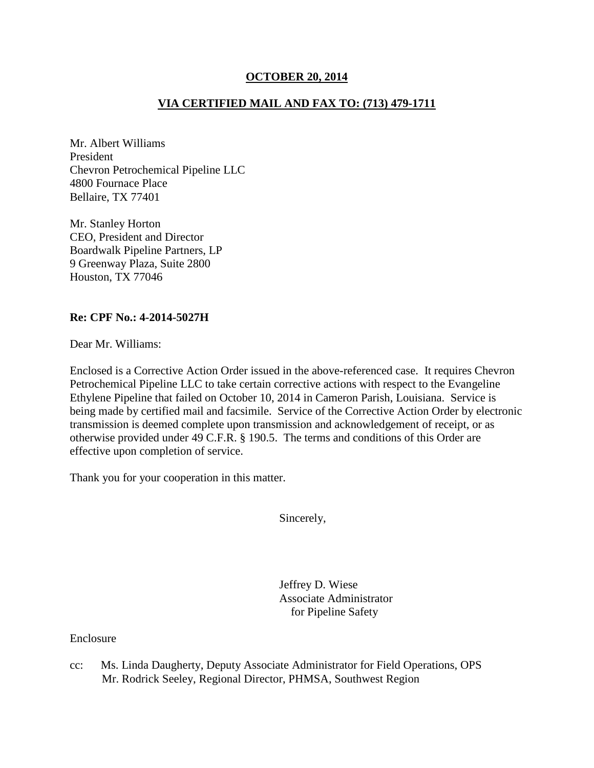## **OCTOBER 20, 2014**

# **VIA CERTIFIED MAIL AND FAX TO: (713) 479-1711**

Mr. Albert Williams President Chevron Petrochemical Pipeline LLC 4800 Fournace Place Bellaire, TX 77401

Mr. Stanley Horton CEO, President and Director Boardwalk Pipeline Partners, LP 9 Greenway Plaza, Suite 2800 Houston, TX 77046

## **Re: CPF No.: 4-2014-5027H**

Dear Mr. Williams:

Enclosed is a Corrective Action Order issued in the above-referenced case. It requires Chevron Petrochemical Pipeline LLC to take certain corrective actions with respect to the Evangeline Ethylene Pipeline that failed on October 10, 2014 in Cameron Parish, Louisiana. Service is being made by certified mail and facsimile. Service of the Corrective Action Order by electronic transmission is deemed complete upon transmission and acknowledgement of receipt, or as otherwise provided under 49 C.F.R. § 190.5. The terms and conditions of this Order are effective upon completion of service.

Thank you for your cooperation in this matter.

Sincerely,

 Jeffrey D. Wiese Associate Administrator for Pipeline Safety

Enclosure

cc: Ms. Linda Daugherty, Deputy Associate Administrator for Field Operations, OPS Mr. Rodrick Seeley, Regional Director, PHMSA, Southwest Region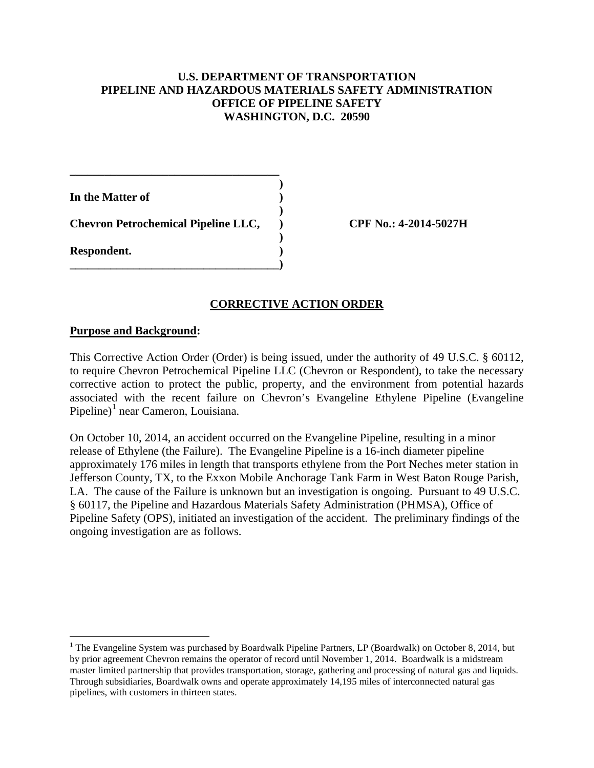## **U.S. DEPARTMENT OF TRANSPORTATION PIPELINE AND HAZARDOUS MATERIALS SAFETY ADMINISTRATION OFFICE OF PIPELINE SAFETY WASHINGTON, D.C. 20590**

**) In the Matter of ) ) Chevron Petrochemical Pipeline LLC, ) CPF No.: 4-2014-5027H ) Respondent. ) \_\_\_\_\_\_\_\_\_\_\_\_\_\_\_\_\_\_\_\_\_\_\_\_\_\_\_\_\_\_\_\_\_\_\_\_)** 

**\_\_\_\_\_\_\_\_\_\_\_\_\_\_\_\_\_\_\_\_\_\_\_\_\_\_\_\_\_\_\_\_\_\_\_\_** 

#### **CORRECTIVE ACTION ORDER**

#### **Purpose and Background:**

 $\overline{a}$ 

This Corrective Action Order (Order) is being issued, under the authority of 49 U.S.C. § 60112, to require Chevron Petrochemical Pipeline LLC (Chevron or Respondent), to take the necessary corrective action to protect the public, property, and the environment from potential hazards associated with the recent failure on Chevron's Evangeline Ethylene Pipeline (Evangeline Pipeline)<sup>1</sup> near Cameron, Louisiana.

On October 10, 2014, an accident occurred on the Evangeline Pipeline, resulting in a minor release of Ethylene (the Failure). The Evangeline Pipeline is a 16-inch diameter pipeline approximately 176 miles in length that transports ethylene from the Port Neches meter station in Jefferson County, TX, to the Exxon Mobile Anchorage Tank Farm in West Baton Rouge Parish, LA. The cause of the Failure is unknown but an investigation is ongoing. Pursuant to 49 U.S.C. § 60117, the Pipeline and Hazardous Materials Safety Administration (PHMSA), Office of Pipeline Safety (OPS), initiated an investigation of the accident. The preliminary findings of the ongoing investigation are as follows.

<sup>&</sup>lt;sup>1</sup> The Evangeline System was purchased by Boardwalk Pipeline Partners, LP (Boardwalk) on October 8, 2014, but by prior agreement Chevron remains the operator of record until November 1, 2014. Boardwalk is a midstream master limited partnership that provides transportation, storage, gathering and processing of natural gas and liquids. Through subsidiaries, Boardwalk owns and operate approximately 14,195 miles of interconnected natural gas pipelines, with customers in thirteen states.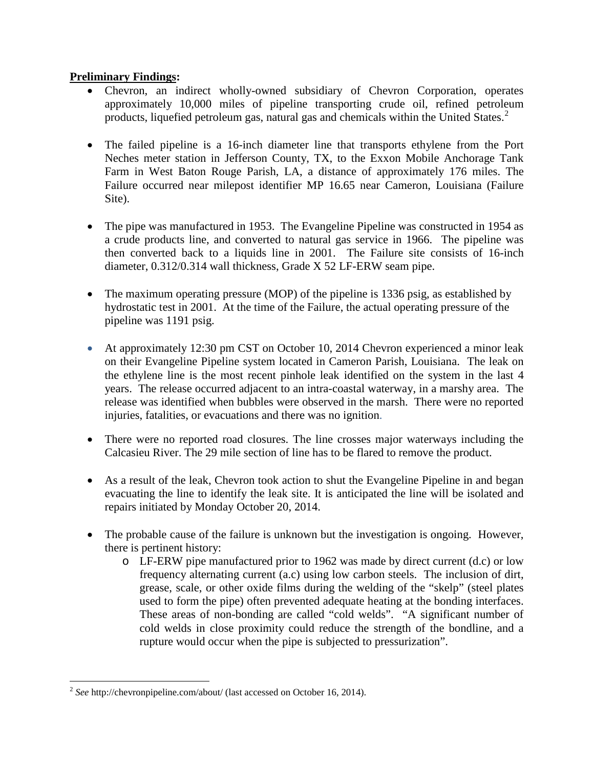## **Preliminary Findings:**

- Chevron, an indirect wholly-owned subsidiary of Chevron Corporation, operates approximately 10,000 miles of pipeline transporting crude oil, refined petroleum products, liquefied petroleum gas, natural gas and chemicals within the United States. $2^2$
- The failed pipeline is a 16-inch diameter line that transports ethylene from the Port Neches meter station in Jefferson County, TX, to the Exxon Mobile Anchorage Tank Farm in West Baton Rouge Parish, LA, a distance of approximately 176 miles. The Failure occurred near milepost identifier MP 16.65 near Cameron, Louisiana (Failure Site).
- The pipe was manufactured in 1953. The Evangeline Pipeline was constructed in 1954 as a crude products line, and converted to natural gas service in 1966. The pipeline was then converted back to a liquids line in 2001. The Failure site consists of 16-inch diameter, 0.312/0.314 wall thickness, Grade X 52 LF-ERW seam pipe.
- The maximum operating pressure (MOP) of the pipeline is 1336 psig, as established by hydrostatic test in 2001. At the time of the Failure, the actual operating pressure of the pipeline was 1191 psig.
- At approximately 12:30 pm CST on October 10, 2014 Chevron experienced a minor leak on their Evangeline Pipeline system located in Cameron Parish, Louisiana. The leak on the ethylene line is the most recent pinhole leak identified on the system in the last 4 years. The release occurred adjacent to an intra-coastal waterway, in a marshy area. The release was identified when bubbles were observed in the marsh. There were no reported injuries, fatalities, or evacuations and there was no ignition.
- There were no reported road closures. The line crosses major waterways including the Calcasieu River. The 29 mile section of line has to be flared to remove the product.
- As a result of the leak, Chevron took action to shut the Evangeline Pipeline in and began evacuating the line to identify the leak site. It is anticipated the line will be isolated and repairs initiated by Monday October 20, 2014.
- The probable cause of the failure is unknown but the investigation is ongoing. However, there is pertinent history:
	- o LF-ERW pipe manufactured prior to 1962 was made by direct current (d.c) or low frequency alternating current (a.c) using low carbon steels. The inclusion of dirt, grease, scale, or other oxide films during the welding of the "skelp" (steel plates used to form the pipe) often prevented adequate heating at the bonding interfaces. These areas of non-bonding are called "cold welds". "A significant number of cold welds in close proximity could reduce the strength of the bondline, and a rupture would occur when the pipe is subjected to pressurization".

 $\overline{a}$ <sup>2</sup> *See* http://chevronpipeline.com/about/ (last accessed on October 16, 2014).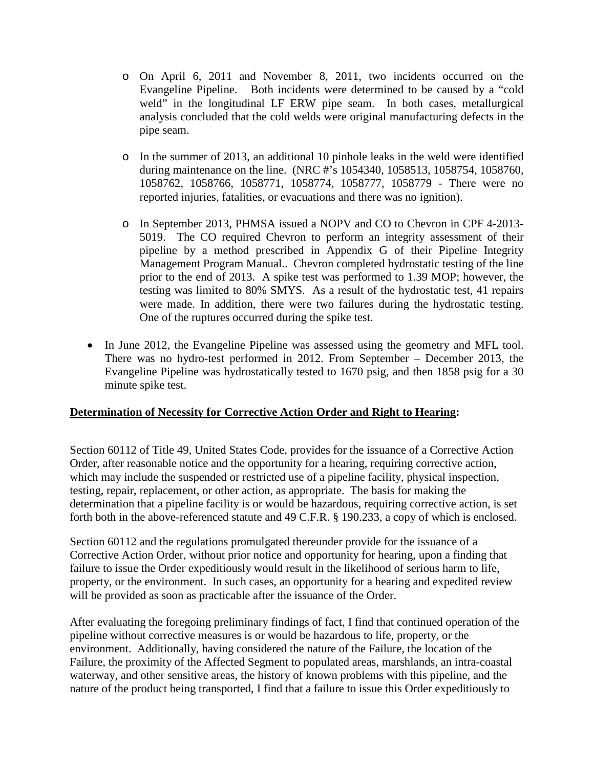- o On April 6, 2011 and November 8, 2011, two incidents occurred on the Evangeline Pipeline. Both incidents were determined to be caused by a "cold weld" in the longitudinal LF ERW pipe seam. In both cases, metallurgical analysis concluded that the cold welds were original manufacturing defects in the pipe seam.
- o In the summer of 2013, an additional 10 pinhole leaks in the weld were identified during maintenance on the line. (NRC #'s 1054340, 1058513, 1058754, 1058760, 1058762, 1058766, 1058771, 1058774, 1058777, 1058779 - There were no reported injuries, fatalities, or evacuations and there was no ignition).
- o In September 2013, PHMSA issued a NOPV and CO to Chevron in CPF 4-2013- 5019. The CO required Chevron to perform an integrity assessment of their pipeline by a method prescribed in Appendix G of their Pipeline Integrity Management Program Manual.. Chevron completed hydrostatic testing of the line prior to the end of 2013. A spike test was performed to 1.39 MOP; however, the testing was limited to 80% SMYS. As a result of the hydrostatic test, 41 repairs were made. In addition, there were two failures during the hydrostatic testing. One of the ruptures occurred during the spike test.
- In June 2012, the Evangeline Pipeline was assessed using the geometry and MFL tool. There was no hydro-test performed in 2012. From September – December 2013, the Evangeline Pipeline was hydrostatically tested to 1670 psig, and then 1858 psig for a 30 minute spike test.

# **Determination of Necessity for Corrective Action Order and Right to Hearing:**

Section 60112 of Title 49, United States Code, provides for the issuance of a Corrective Action Order, after reasonable notice and the opportunity for a hearing, requiring corrective action, which may include the suspended or restricted use of a pipeline facility, physical inspection, testing, repair, replacement, or other action, as appropriate. The basis for making the determination that a pipeline facility is or would be hazardous, requiring corrective action, is set forth both in the above-referenced statute and 49 C.F.R. § 190.233, a copy of which is enclosed.

Section 60112 and the regulations promulgated thereunder provide for the issuance of a Corrective Action Order, without prior notice and opportunity for hearing, upon a finding that failure to issue the Order expeditiously would result in the likelihood of serious harm to life, property, or the environment. In such cases, an opportunity for a hearing and expedited review will be provided as soon as practicable after the issuance of the Order.

After evaluating the foregoing preliminary findings of fact, I find that continued operation of the pipeline without corrective measures is or would be hazardous to life, property, or the environment. Additionally, having considered the nature of the Failure, the location of the Failure, the proximity of the Affected Segment to populated areas, marshlands, an intra-coastal waterway, and other sensitive areas, the history of known problems with this pipeline, and the nature of the product being transported, I find that a failure to issue this Order expeditiously to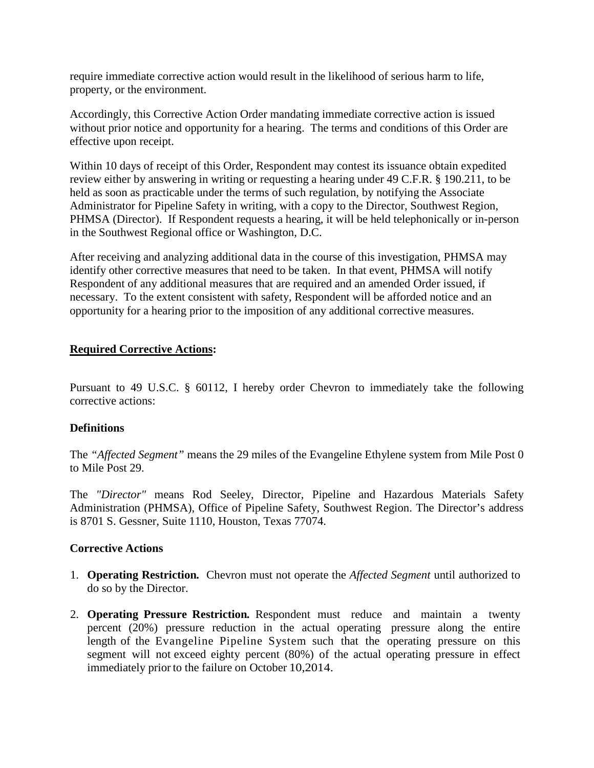require immediate corrective action would result in the likelihood of serious harm to life, property, or the environment.

Accordingly, this Corrective Action Order mandating immediate corrective action is issued without prior notice and opportunity for a hearing. The terms and conditions of this Order are effective upon receipt.

Within 10 days of receipt of this Order, Respondent may contest its issuance obtain expedited review either by answering in writing or requesting a hearing under 49 C.F.R. § 190.211, to be held as soon as practicable under the terms of such regulation, by notifying the Associate Administrator for Pipeline Safety in writing, with a copy to the Director, Southwest Region, PHMSA (Director). If Respondent requests a hearing, it will be held telephonically or in-person in the Southwest Regional office or Washington, D.C.

After receiving and analyzing additional data in the course of this investigation, PHMSA may identify other corrective measures that need to be taken. In that event, PHMSA will notify Respondent of any additional measures that are required and an amended Order issued, if necessary. To the extent consistent with safety, Respondent will be afforded notice and an opportunity for a hearing prior to the imposition of any additional corrective measures.

## **Required Corrective Actions:**

Pursuant to 49 U.S.C. § 60112, I hereby order Chevron to immediately take the following corrective actions:

## **Definitions**

The *"Affected Segment"* means the 29 miles of the Evangeline Ethylene system from Mile Post 0 to Mile Post 29.

The *"Director"* means Rod Seeley, Director, Pipeline and Hazardous Materials Safety Administration (PHMSA), Office of Pipeline Safety, Southwest Region. The Director's address is 8701 S. Gessner, Suite 1110, Houston, Texas 77074.

## **Corrective Actions**

- 1. **Operating Restriction***.* Chevron must not operate the *Affected Segment* until authorized to do so by the Director.
- 2. **Operating Pressure Restriction***.* Respondent must reduce and maintain a twenty percent (20%) pressure reduction in the actual operating pressure along the entire length of the Evangeline Pipeline System such that the operating pressure on this segment will not exceed eighty percent (80%) of the actual operating pressure in effect immediately prior to the failure on October 10,2014.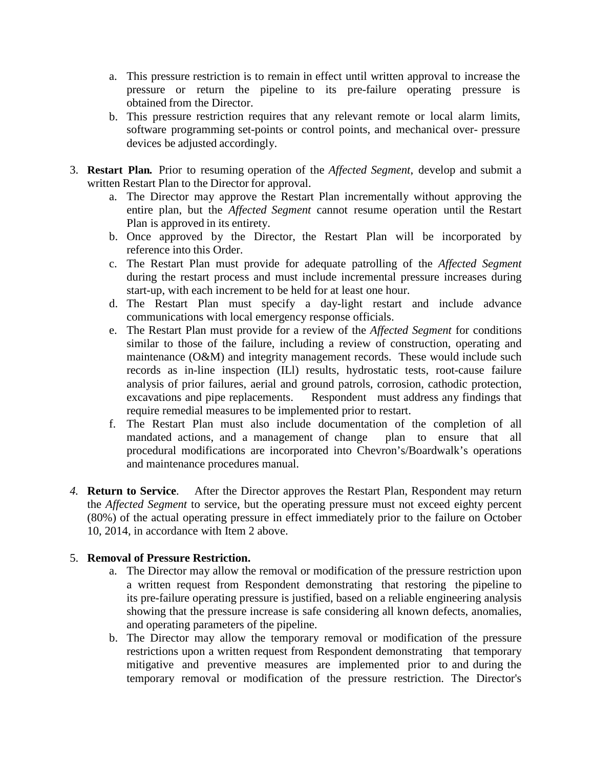- a. This pressure restriction is to remain in effect until written approval to increase the pressure or return the pipeline to its pre-failure operating pressure is obtained from the Director.
- b. This pressure restriction requires that any relevant remote or local alarm limits, software programming set-points or control points, and mechanical over- pressure devices be adjusted accordingly.
- 3. **Restart Plan***.* Prior to resuming operation of the *Affected Segment*, develop and submit a written Restart Plan to the Director for approval.
	- a. The Director may approve the Restart Plan incrementally without approving the entire plan, but the *Affected Segment* cannot resume operation until the Restart Plan is approved in its entirety.
	- b. Once approved by the Director, the Restart Plan will be incorporated by reference into this Order.
	- c. The Restart Plan must provide for adequate patrolling of the *Affected Segment* during the restart process and must include incremental pressure increases during start-up, with each increment to be held for at least one hour.
	- d. The Restart Plan must specify a day-light restart and include advance communications with local emergency response officials.
	- e. The Restart Plan must provide for a review of the *Affected Segment* for conditions similar to those of the failure, including a review of construction, operating and maintenance (O&M) and integrity management records. These would include such records as in-line inspection (ILl) results, hydrostatic tests, root-cause failure analysis of prior failures, aerial and ground patrols, corrosion, cathodic protection, excavations and pipe replacements. Respondent must address any findings that require remedial measures to be implemented prior to restart.
	- f. The Restart Plan must also include documentation of the completion of all mandated actions, and a management of change plan to ensure that all procedural modifications are incorporated into Chevron's/Boardwalk's operations and maintenance procedures manual.
- *4.* **Return to Service**. After the Director approves the Restart Plan, Respondent may return the *Affected Segment* to service, but the operating pressure must not exceed eighty percent (80%) of the actual operating pressure in effect immediately prior to the failure on October 10, 2014, in accordance with Item 2 above.

# 5. **Removal of Pressure Restriction.**

- a. The Director may allow the removal or modification of the pressure restriction upon a written request from Respondent demonstrating that restoring the pipeline to its pre-failure operating pressure is justified, based on a reliable engineering analysis showing that the pressure increase is safe considering all known defects, anomalies, and operating parameters of the pipeline.
- b. The Director may allow the temporary removal or modification of the pressure restrictions upon a written request from Respondent demonstrating that temporary mitigative and preventive measures are implemented prior to and during the temporary removal or modification of the pressure restriction. The Director's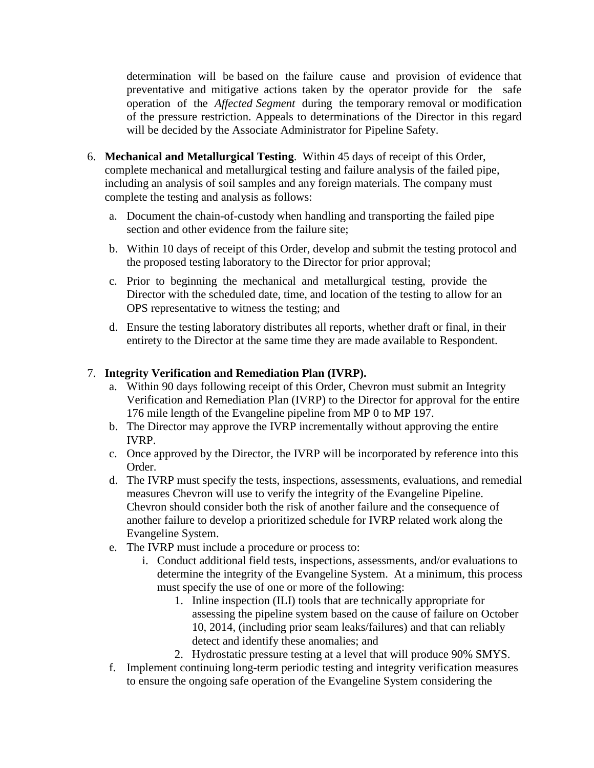determination will be based on the failure cause and provision of evidence that preventative and mitigative actions taken by the operator provide for the safe operation of the *Affected Segment* during the temporary removal or modification of the pressure restriction. Appeals to determinations of the Director in this regard will be decided by the Associate Administrator for Pipeline Safety.

- 6. **Mechanical and Metallurgical Testing**. Within 45 days of receipt of this Order, complete mechanical and metallurgical testing and failure analysis of the failed pipe, including an analysis of soil samples and any foreign materials. The company must complete the testing and analysis as follows:
	- a. Document the chain-of-custody when handling and transporting the failed pipe section and other evidence from the failure site;
	- b. Within 10 days of receipt of this Order, develop and submit the testing protocol and the proposed testing laboratory to the Director for prior approval;
	- c. Prior to beginning the mechanical and metallurgical testing, provide the Director with the scheduled date, time, and location of the testing to allow for an OPS representative to witness the testing; and
	- d. Ensure the testing laboratory distributes all reports, whether draft or final, in their entirety to the Director at the same time they are made available to Respondent.

# 7. **Integrity Verification and Remediation Plan (IVRP).**

- a. Within 90 days following receipt of this Order, Chevron must submit an Integrity Verification and Remediation Plan (IVRP) to the Director for approval for the entire 176 mile length of the Evangeline pipeline from MP 0 to MP 197.
- b. The Director may approve the IVRP incrementally without approving the entire IVRP.
- c. Once approved by the Director, the IVRP will be incorporated by reference into this Order.
- d. The IVRP must specify the tests, inspections, assessments, evaluations, and remedial measures Chevron will use to verify the integrity of the Evangeline Pipeline. Chevron should consider both the risk of another failure and the consequence of another failure to develop a prioritized schedule for IVRP related work along the Evangeline System.
- e. The IVRP must include a procedure or process to:
	- i. Conduct additional field tests, inspections, assessments, and/or evaluations to determine the integrity of the Evangeline System. At a minimum, this process must specify the use of one or more of the following:
		- 1. Inline inspection (ILI) tools that are technically appropriate for assessing the pipeline system based on the cause of failure on October 10, 2014, (including prior seam leaks/failures) and that can reliably detect and identify these anomalies; and
		- 2. Hydrostatic pressure testing at a level that will produce 90% SMYS.
- f. Implement continuing long-term periodic testing and integrity verification measures to ensure the ongoing safe operation of the Evangeline System considering the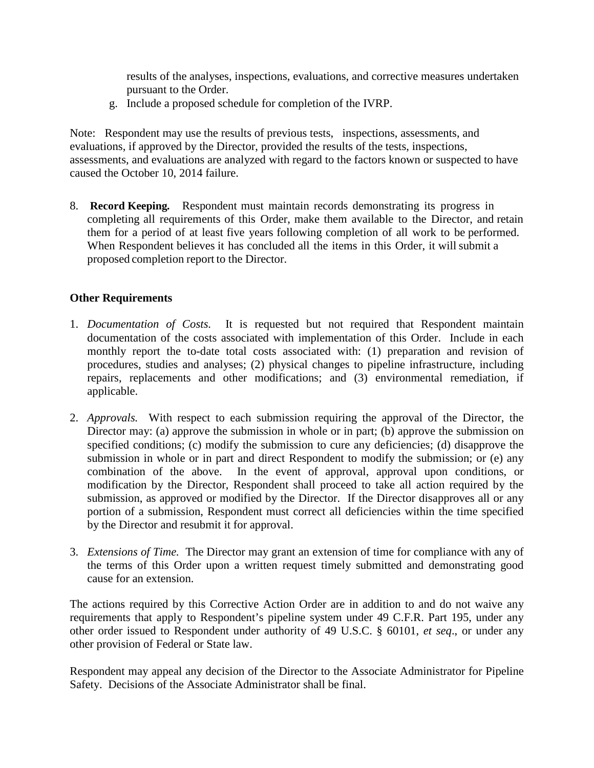results of the analyses, inspections, evaluations, and corrective measures undertaken pursuant to the Order.

g. Include a proposed schedule for completion of the IVRP.

Note: Respondent may use the results of previous tests, inspections, assessments, and evaluations, if approved by the Director, provided the results of the tests, inspections, assessments, and evaluations are analyzed with regard to the factors known or suspected to have caused the October 10, 2014 failure.

8. **Record Keeping***.*Respondent must maintain records demonstrating its progress in completing all requirements of this Order, make them available to the Director, and retain them for a period of at least five years following completion of all work to be performed. When Respondent believes it has concluded all the items in this Order, it will submit a proposed completion report to the Director.

## **Other Requirements**

- 1. *Documentation of Costs.* It is requested but not required that Respondent maintain documentation of the costs associated with implementation of this Order. Include in each monthly report the to-date total costs associated with: (1) preparation and revision of procedures, studies and analyses; (2) physical changes to pipeline infrastructure, including repairs, replacements and other modifications; and (3) environmental remediation, if applicable.
- 2. *Approvals.* With respect to each submission requiring the approval of the Director, the Director may: (a) approve the submission in whole or in part; (b) approve the submission on specified conditions; (c) modify the submission to cure any deficiencies; (d) disapprove the submission in whole or in part and direct Respondent to modify the submission; or (e) any combination of the above. In the event of approval, approval upon conditions, or modification by the Director, Respondent shall proceed to take all action required by the submission, as approved or modified by the Director. If the Director disapproves all or any portion of a submission, Respondent must correct all deficiencies within the time specified by the Director and resubmit it for approval.
- 3. *Extensions of Time.* The Director may grant an extension of time for compliance with any of the terms of this Order upon a written request timely submitted and demonstrating good cause for an extension.

The actions required by this Corrective Action Order are in addition to and do not waive any requirements that apply to Respondent's pipeline system under 49 C.F.R. Part 195, under any other order issued to Respondent under authority of 49 U.S.C. § 60101, *et seq*., or under any other provision of Federal or State law.

Respondent may appeal any decision of the Director to the Associate Administrator for Pipeline Safety. Decisions of the Associate Administrator shall be final.